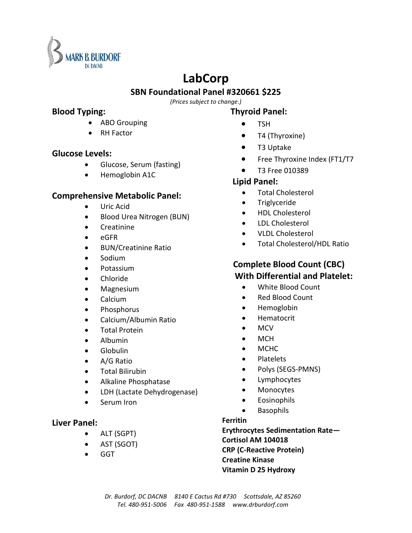

# **LabCorp**

## **SBN Foundational Panel #320661 \$225**

*(Prices subject to change.)*

### **Blood Typing:**

- ABO Grouping
- **RH Factor**

## **Glucose Levels:**

- Glucose, Serum (fasting)
- Hemoglobin A1C

# **Comprehensive Metabolic Panel:**

- Uric Acid
- Blood Urea Nitrogen (BUN)
- Creatinine
- eGFR
- BUN/Creatinine Ratio
- Sodium
- Potassium
- Chloride
- Magnesium
- Calcium
- Phosphorus
- Calcium/Albumin Ratio
- Total Protein
- Albumin
- Globulin
- A/G Ratio
- Total Bilirubin
- Alkaline Phosphatase
- LDH (Lactate Dehydrogenase)
- Serum Iron

# **Liver Panel:**

- ALT (SGPT)
- AST (SGOT)
- GGT

# **Thyroid Panel:**

- TSH
- T4 (Thyroxine)
- T3 Uptake
- Free Thyroxine Index (FT1/T7
- T3 Free 010389

# **Lipid Panel:**

- Total Cholesterol
- Triglyceride
- HDL Cholesterol
- LDL Cholesterol
- VLDL Cholesterol
- Total Cholesterol/HDL Ratio

# **Complete Blood Count (CBC) With Differential and Platelet:**

- White Blood Count
- Red Blood Count
- Hemoglobin
- Hematocrit
- MCV
- MCH
- MCHC
- Platelets
- Polys (SEGS-PMNS)
- Lymphocytes
- Monocytes
- Eosinophils
- Basophils

### **Ferritin**

 **Erythrocytes Sedimentation Rate— Cortisol AM 104018 CRP (C-Reactive Protein) Creatine Kinase Vitamin D 25 Hydroxy**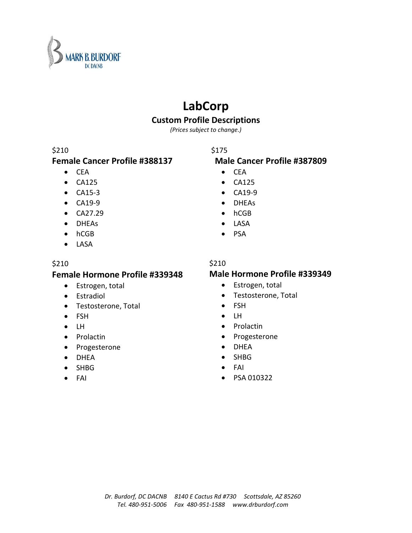

# **LabCorp**

# **Custom Profile Descriptions**

*(Prices subject to change.)*

### \$210

## **Female Cancer Profile #388137**

- CEA
- CA125
- CA15-3
- CA19-9
- CA27.29
- DHEAs
- hCGB
- LASA

### \$210

### **Female Hormone Profile #339348**

- Estrogen, total
- Estradiol
- Testosterone, Total
- FSH
- LH
- Prolactin
- Progesterone
- DHEA
- SHBG
- FAI

# \$175

### **Male Cancer Profile #387809**

- CEA
- CA125
- CA19-9
- DHEAs
- hCGB
- LASA
- PSA

#### \$210

### **Male Hormone Profile #339349**

- Estrogen, total
- Testosterone, Total
- FSH
- LH
- Prolactin
- Progesterone
- DHEA
- SHBG
- FAI
- PSA 010322